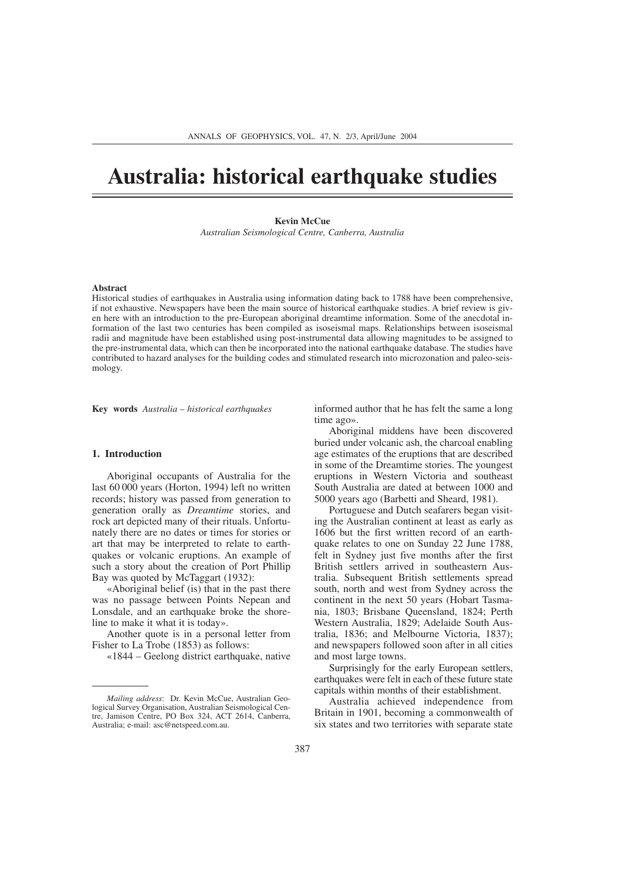# **Australia: historical earthquake studies**

# **Kevin McCue**

*Australian Seismological Centre, Canberra, Australia*

### **Abstract**

Historical studies of earthquakes in Australia using information dating back to 1788 have been comprehensive, if not exhaustive. Newspapers have been the main source of historical earthquake studies. A brief review is given here with an introduction to the pre-European aboriginal dreamtime information. Some of the anecdotal information of the last two centuries has been compiled as isoseismal maps. Relationships between isoseismal radii and magnitude have been established using post-instrumental data allowing magnitudes to be assigned to the pre-instrumental data, which can then be incorporated into the national earthquake database. The studies have contributed to hazard analyses for the building codes and stimulated research into microzonation and paleo-seismology.

**Key words** *Australia – historical earthquakes*

# **1. Introduction**

Aboriginal occupants of Australia for the last 60 000 years (Horton, 1994) left no written records; history was passed from generation to generation orally as *Dreamtime* stories, and rock art depicted many of their rituals. Unfortunately there are no dates or times for stories or art that may be interpreted to relate to earthquakes or volcanic eruptions. An example of such a story about the creation of Port Phillip Bay was quoted by McTaggart (1932):

«Aboriginal belief (is) that in the past there was no passage between Points Nepean and Lonsdale, and an earthquake broke the shoreline to make it what it is today».

Another quote is in a personal letter from Fisher to La Trobe (1853) as follows:

«1844 – Geelong district earthquake, native

informed author that he has felt the same a long time ago».

Aboriginal middens have been discovered buried under volcanic ash, the charcoal enabling age estimates of the eruptions that are described in some of the Dreamtime stories. The youngest eruptions in Western Victoria and southeast South Australia are dated at between 1000 and 5000 years ago (Barbetti and Sheard, 1981).

Portuguese and Dutch seafarers began visiting the Australian continent at least as early as 1606 but the first written record of an earthquake relates to one on Sunday 22 June 1788, felt in Sydney just five months after the first British settlers arrived in southeastern Australia. Subsequent British settlements spread south, north and west from Sydney across the continent in the next 50 years (Hobart Tasmania, 1803; Brisbane Queensland, 1824; Perth Western Australia, 1829; Adelaide South Australia, 1836; and Melbourne Victoria, 1837); and newspapers followed soon after in all cities and most large towns.

Surprisingly for the early European settlers, earthquakes were felt in each of these future state capitals within months of their establishment.

Australia achieved independence from Britain in 1901, becoming a commonwealth of six states and two territories with separate state

*Mailing address*: Dr. Kevin McCue, Australian Geological Survey Organisation, Australian Seismological Centre, Jamison Centre, PO Box 324, ACT 2614, Canberra, Australia; e-mail: asc@netspeed.com.au.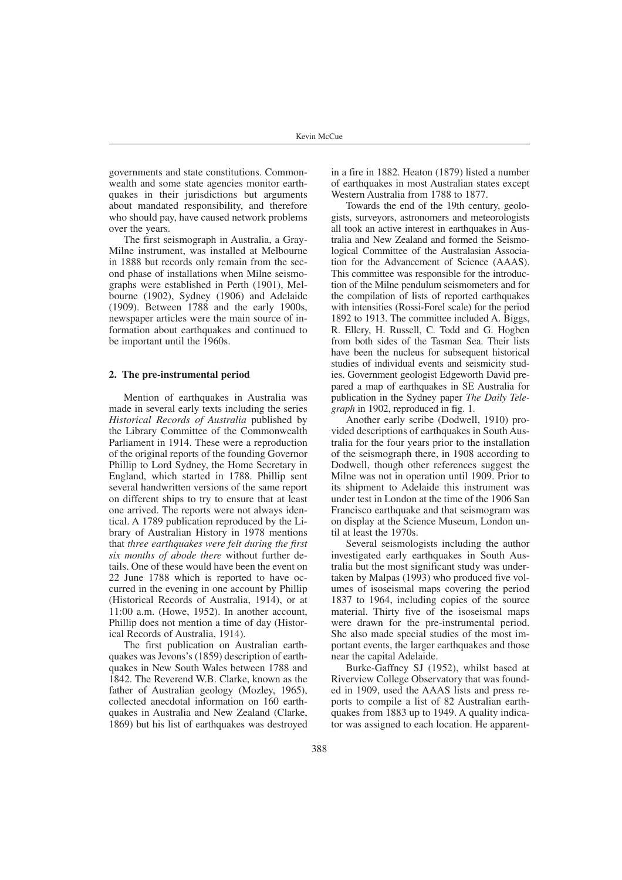governments and state constitutions. Commonwealth and some state agencies monitor earthquakes in their jurisdictions but arguments about mandated responsibility, and therefore who should pay, have caused network problems over the years.

The first seismograph in Australia, a Gray-Milne instrument, was installed at Melbourne in 1888 but records only remain from the second phase of installations when Milne seismographs were established in Perth (1901), Melbourne (1902), Sydney (1906) and Adelaide (1909). Between 1788 and the early 1900s, newspaper articles were the main source of information about earthquakes and continued to be important until the 1960s.

# **2. The pre-instrumental period**

Mention of earthquakes in Australia was made in several early texts including the series *Historical Records of Australia* published by the Library Committee of the Commonwealth Parliament in 1914. These were a reproduction of the original reports of the founding Governor Phillip to Lord Sydney, the Home Secretary in England, which started in 1788. Phillip sent several handwritten versions of the same report on different ships to try to ensure that at least one arrived. The reports were not always identical. A 1789 publication reproduced by the Library of Australian History in 1978 mentions that *three earthquakes were felt during the first six months of abode there* without further details. One of these would have been the event on 22 June 1788 which is reported to have occurred in the evening in one account by Phillip (Historical Records of Australia, 1914), or at 11:00 a.m. (Howe, 1952). In another account, Phillip does not mention a time of day (Historical Records of Australia, 1914).

The first publication on Australian earthquakes was Jevons's (1859) description of earthquakes in New South Wales between 1788 and 1842. The Reverend W.B. Clarke, known as the father of Australian geology (Mozley, 1965), collected anecdotal information on 160 earthquakes in Australia and New Zealand (Clarke, 1869) but his list of earthquakes was destroyed in a fire in 1882. Heaton (1879) listed a number of earthquakes in most Australian states except Western Australia from 1788 to 1877.

Towards the end of the 19th century, geologists, surveyors, astronomers and meteorologists all took an active interest in earthquakes in Australia and New Zealand and formed the Seismological Committee of the Australasian Association for the Advancement of Science (AAAS). This committee was responsible for the introduction of the Milne pendulum seismometers and for the compilation of lists of reported earthquakes with intensities (Rossi-Forel scale) for the period 1892 to 1913. The committee included A. Biggs, R. Ellery, H. Russell, C. Todd and G. Hogben from both sides of the Tasman Sea. Their lists have been the nucleus for subsequent historical studies of individual events and seismicity studies. Government geologist Edgeworth David prepared a map of earthquakes in SE Australia for publication in the Sydney paper *The Daily Telegraph* in 1902, reproduced in fig. 1.

Another early scribe (Dodwell, 1910) provided descriptions of earthquakes in South Australia for the four years prior to the installation of the seismograph there, in 1908 according to Dodwell, though other references suggest the Milne was not in operation until 1909. Prior to its shipment to Adelaide this instrument was under test in London at the time of the 1906 San Francisco earthquake and that seismogram was on display at the Science Museum, London until at least the 1970s.

Several seismologists including the author investigated early earthquakes in South Australia but the most significant study was undertaken by Malpas (1993) who produced five volumes of isoseismal maps covering the period 1837 to 1964, including copies of the source material. Thirty five of the isoseismal maps were drawn for the pre-instrumental period. She also made special studies of the most important events, the larger earthquakes and those near the capital Adelaide.

Burke-Gaffney SJ (1952), whilst based at Riverview College Observatory that was founded in 1909, used the AAAS lists and press reports to compile a list of 82 Australian earthquakes from 1883 up to 1949. A quality indicator was assigned to each location. He apparent-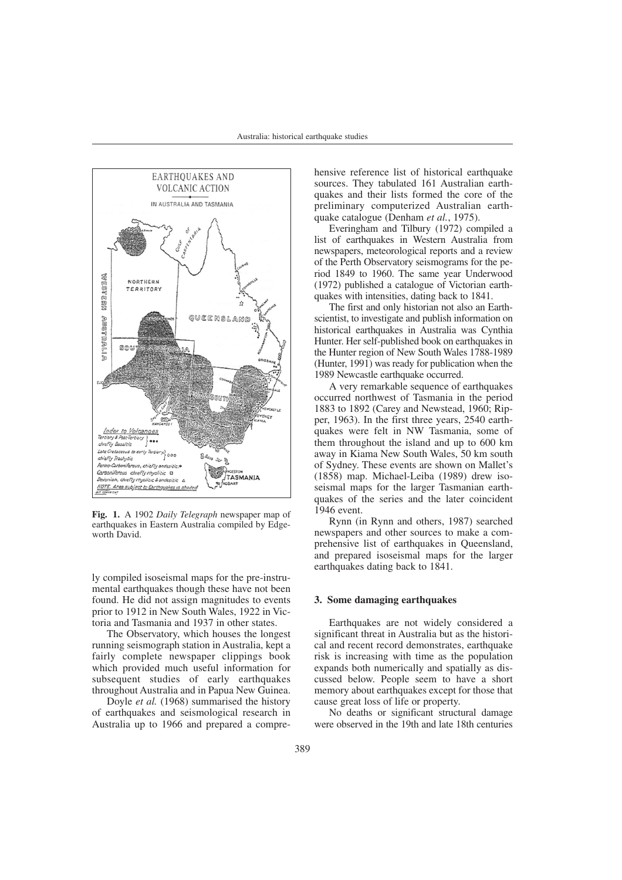

**Fig. 1.** A 1902 *Daily Telegraph* newspaper map of earthquakes in Eastern Australia compiled by Edgeworth David.

ly compiled isoseismal maps for the pre-instrumental earthquakes though these have not been found. He did not assign magnitudes to events prior to 1912 in New South Wales, 1922 in Victoria and Tasmania and 1937 in other states.

The Observatory, which houses the longest running seismograph station in Australia, kept a fairly complete newspaper clippings book which provided much useful information for subsequent studies of early earthquakes throughout Australia and in Papua New Guinea.

Doyle *et al.* (1968) summarised the history of earthquakes and seismological research in Australia up to 1966 and prepared a comprehensive reference list of historical earthquake sources. They tabulated 161 Australian earthquakes and their lists formed the core of the preliminary computerized Australian earthquake catalogue (Denham *et al.*, 1975).

Everingham and Tilbury (1972) compiled a list of earthquakes in Western Australia from newspapers, meteorological reports and a review of the Perth Observatory seismograms for the period 1849 to 1960. The same year Underwood (1972) published a catalogue of Victorian earthquakes with intensities, dating back to 1841.

The first and only historian not also an Earthscientist, to investigate and publish information on historical earthquakes in Australia was Cynthia Hunter. Her self-published book on earthquakes in the Hunter region of New South Wales 1788-1989 (Hunter, 1991) was ready for publication when the 1989 Newcastle earthquake occurred.

A very remarkable sequence of earthquakes occurred northwest of Tasmania in the period 1883 to 1892 (Carey and Newstead, 1960; Ripper, 1963). In the first three years, 2540 earthquakes were felt in NW Tasmania, some of them throughout the island and up to 600 km away in Kiama New South Wales, 50 km south of Sydney. These events are shown on Mallet's (1858) map. Michael-Leiba (1989) drew isoseismal maps for the larger Tasmanian earthquakes of the series and the later coincident 1946 event.

Rynn (in Rynn and others, 1987) searched newspapers and other sources to make a comprehensive list of earthquakes in Queensland, and prepared isoseismal maps for the larger earthquakes dating back to 1841.

## **3. Some damaging earthquakes**

Earthquakes are not widely considered a significant threat in Australia but as the historical and recent record demonstrates, earthquake risk is increasing with time as the population expands both numerically and spatially as discussed below. People seem to have a short memory about earthquakes except for those that cause great loss of life or property.

No deaths or significant structural damage were observed in the 19th and late 18th centuries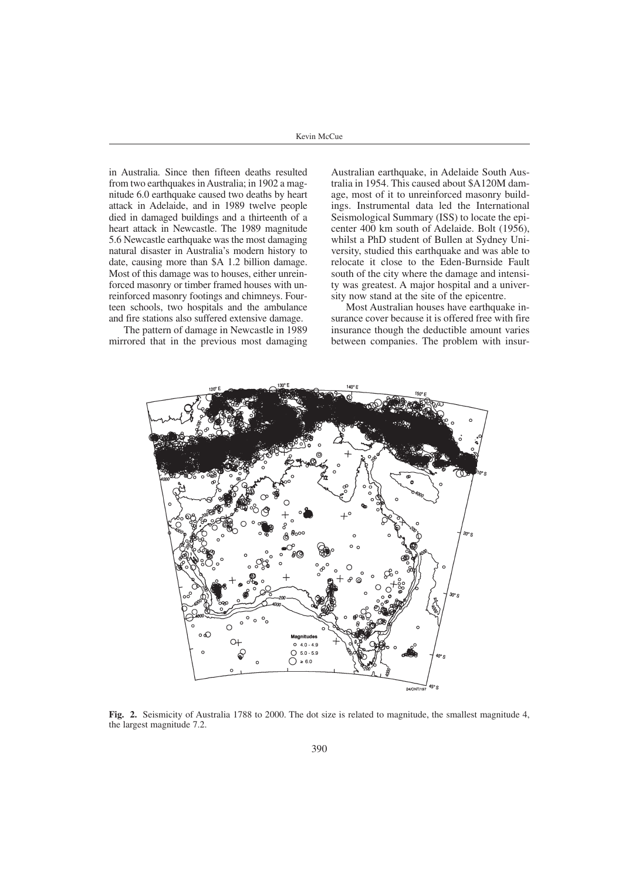Kevin McCue

in Australia. Since then fifteen deaths resulted from two earthquakes in Australia; in 1902 a magnitude 6.0 earthquake caused two deaths by heart attack in Adelaide, and in 1989 twelve people died in damaged buildings and a thirteenth of a heart attack in Newcastle. The 1989 magnitude 5.6 Newcastle earthquake was the most damaging natural disaster in Australia's modern history to date, causing more than \$A 1.2 billion damage. Most of this damage was to houses, either unreinforced masonry or timber framed houses with unreinforced masonry footings and chimneys. Fourteen schools, two hospitals and the ambulance and fire stations also suffered extensive damage.

The pattern of damage in Newcastle in 1989 mirrored that in the previous most damaging

Australian earthquake, in Adelaide South Australia in 1954. This caused about \$A120M damage, most of it to unreinforced masonry buildings. Instrumental data led the International Seismological Summary (ISS) to locate the epicenter 400 km south of Adelaide. Bolt (1956), whilst a PhD student of Bullen at Sydney University, studied this earthquake and was able to relocate it close to the Eden-Burnside Fault south of the city where the damage and intensity was greatest. A major hospital and a university now stand at the site of the epicentre.

Most Australian houses have earthquake insurance cover because it is offered free with fire insurance though the deductible amount varies between companies. The problem with insur-



**Fig. 2.** Seismicity of Australia 1788 to 2000. The dot size is related to magnitude, the smallest magnitude 4, the largest magnitude 7.2.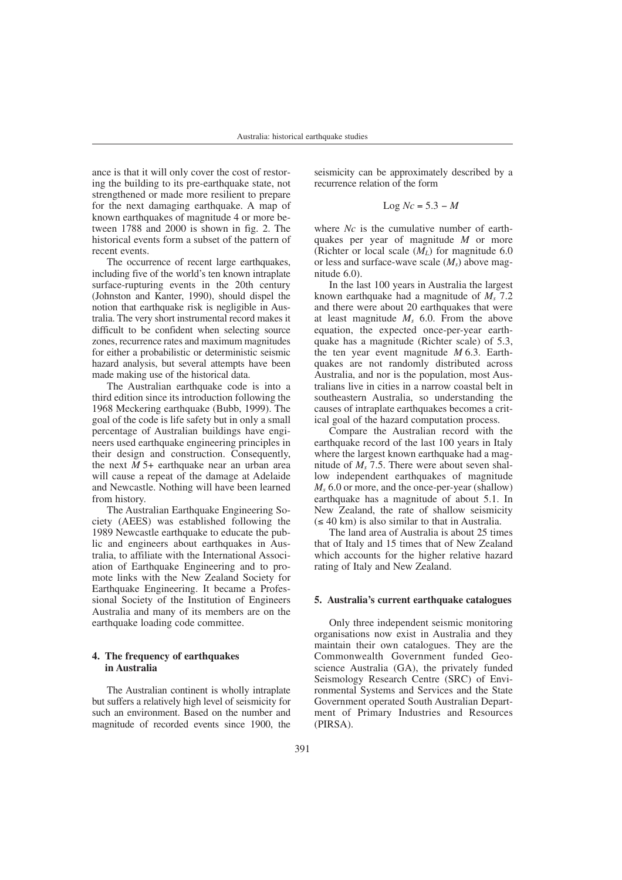ance is that it will only cover the cost of restoring the building to its pre-earthquake state, not strengthened or made more resilient to prepare for the next damaging earthquake. A map of known earthquakes of magnitude 4 or more between 1788 and 2000 is shown in fig. 2. The historical events form a subset of the pattern of recent events.

The occurrence of recent large earthquakes, including five of the world's ten known intraplate surface-rupturing events in the 20th century (Johnston and Kanter, 1990), should dispel the notion that earthquake risk is negligible in Australia. The very short instrumental record makes it difficult to be confident when selecting source zones, recurrence rates and maximum magnitudes for either a probabilistic or deterministic seismic hazard analysis, but several attempts have been made making use of the historical data.

The Australian earthquake code is into a third edition since its introduction following the 1968 Meckering earthquake (Bubb, 1999). The goal of the code is life safety but in only a small percentage of Australian buildings have engineers used earthquake engineering principles in their design and construction. Consequently, the next *M* 5+ earthquake near an urban area will cause a repeat of the damage at Adelaide and Newcastle. Nothing will have been learned from history.

The Australian Earthquake Engineering Society (AEES) was established following the 1989 Newcastle earthquake to educate the public and engineers about earthquakes in Australia, to affiliate with the International Association of Earthquake Engineering and to promote links with the New Zealand Society for Earthquake Engineering. It became a Professional Society of the Institution of Engineers Australia and many of its members are on the earthquake loading code committee.

# **4. The frequency of earthquakes in Australia**

The Australian continent is wholly intraplate but suffers a relatively high level of seismicity for such an environment. Based on the number and magnitude of recorded events since 1900, the

seismicity can be approximately described by a recurrence relation of the form

$$
Log Nc = 5.3 - M
$$

where *Nc* is the cumulative number of earthquakes per year of magnitude *M* or more (Richter or local scale  $(M_L)$  for magnitude 6.0 or less and surface-wave scale (*Ms*) above magnitude 6.0).

In the last 100 years in Australia the largest known earthquake had a magnitude of  $M_s$ , 7.2 and there were about 20 earthquakes that were at least magnitude *Ms* 6.0. From the above equation, the expected once-per-year earthquake has a magnitude (Richter scale) of 5.3, the ten year event magnitude *M* 6.3. Earthquakes are not randomly distributed across Australia, and nor is the population, most Australians live in cities in a narrow coastal belt in southeastern Australia, so understanding the causes of intraplate earthquakes becomes a critical goal of the hazard computation process.

Compare the Australian record with the earthquake record of the last 100 years in Italy where the largest known earthquake had a magnitude of *Ms* 7.5. There were about seven shallow independent earthquakes of magnitude *Ms* 6.0 or more, and the once-per-year (shallow) earthquake has a magnitude of about 5.1. In New Zealand, the rate of shallow seismicity  $(\leq 40 \text{ km})$  is also similar to that in Australia.

The land area of Australia is about 25 times that of Italy and 15 times that of New Zealand which accounts for the higher relative hazard rating of Italy and New Zealand.

# **5. Australia's current earthquake catalogues**

Only three independent seismic monitoring organisations now exist in Australia and they maintain their own catalogues. They are the Commonwealth Government funded Geoscience Australia (GA), the privately funded Seismology Research Centre (SRC) of Environmental Systems and Services and the State Government operated South Australian Department of Primary Industries and Resources (PIRSA).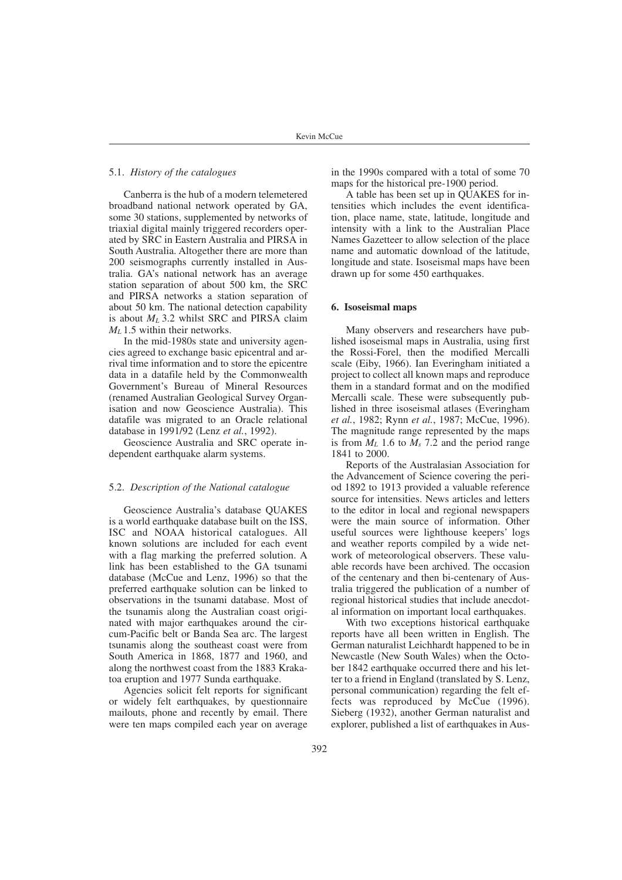## 5.1. *History of the catalogues*

Canberra is the hub of a modern telemetered broadband national network operated by GA, some 30 stations, supplemented by networks of triaxial digital mainly triggered recorders operated by SRC in Eastern Australia and PIRSA in South Australia. Altogether there are more than 200 seismographs currently installed in Australia. GA's national network has an average station separation of about 500 km, the SRC and PIRSA networks a station separation of about 50 km. The national detection capability is about  $M_L$  3.2 whilst SRC and PIRSA claim *M<sub>L</sub>* 1.5 within their networks.

In the mid-1980s state and university agencies agreed to exchange basic epicentral and arrival time information and to store the epicentre data in a datafile held by the Commonwealth Government's Bureau of Mineral Resources (renamed Australian Geological Survey Organisation and now Geoscience Australia). This datafile was migrated to an Oracle relational database in 1991/92 (Lenz *et al.*, 1992).

Geoscience Australia and SRC operate independent earthquake alarm systems.

# 5.2. *Description of the National catalogue*

Geoscience Australia's database QUAKES is a world earthquake database built on the ISS, ISC and NOAA historical catalogues. All known solutions are included for each event with a flag marking the preferred solution. A link has been established to the GA tsunami database (McCue and Lenz, 1996) so that the preferred earthquake solution can be linked to observations in the tsunami database. Most of the tsunamis along the Australian coast originated with major earthquakes around the circum-Pacific belt or Banda Sea arc. The largest tsunamis along the southeast coast were from South America in 1868, 1877 and 1960, and along the northwest coast from the 1883 Krakatoa eruption and 1977 Sunda earthquake.

Agencies solicit felt reports for significant or widely felt earthquakes, by questionnaire mailouts, phone and recently by email. There were ten maps compiled each year on average in the 1990s compared with a total of some 70 maps for the historical pre-1900 period.

A table has been set up in QUAKES for intensities which includes the event identification, place name, state, latitude, longitude and intensity with a link to the Australian Place Names Gazetteer to allow selection of the place name and automatic download of the latitude, longitude and state. Isoseismal maps have been drawn up for some 450 earthquakes.

# **6. Isoseismal maps**

Many observers and researchers have published isoseismal maps in Australia, using first the Rossi-Forel, then the modified Mercalli scale (Eiby, 1966). Ian Everingham initiated a project to collect all known maps and reproduce them in a standard format and on the modified Mercalli scale. These were subsequently published in three isoseismal atlases (Everingham *et al.*, 1982; Rynn *et al.*, 1987; McCue, 1996). The magnitude range represented by the maps is from  $M_L$  1.6 to  $M_s$  7.2 and the period range 1841 to 2000.

Reports of the Australasian Association for the Advancement of Science covering the period 1892 to 1913 provided a valuable reference source for intensities. News articles and letters to the editor in local and regional newspapers were the main source of information. Other useful sources were lighthouse keepers' logs and weather reports compiled by a wide network of meteorological observers. These valuable records have been archived. The occasion of the centenary and then bi-centenary of Australia triggered the publication of a number of regional historical studies that include anecdotal information on important local earthquakes.

With two exceptions historical earthquake reports have all been written in English. The German naturalist Leichhardt happened to be in Newcastle (New South Wales) when the October 1842 earthquake occurred there and his letter to a friend in England (translated by S. Lenz, personal communication) regarding the felt effects was reproduced by McCue (1996). Sieberg (1932), another German naturalist and explorer, published a list of earthquakes in Aus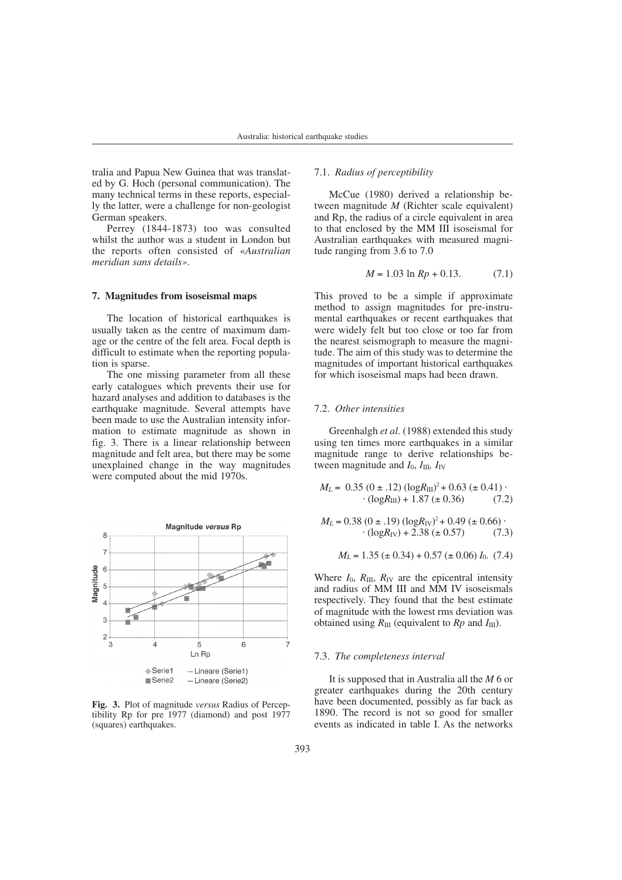tralia and Papua New Guinea that was translated by G. Hoch (personal communication). The many technical terms in these reports, especially the latter, were a challenge for non-geologist German speakers.

Perrey (1844-1873) too was consulted whilst the author was a student in London but the reports often consisted of «*Australian meridian sans details»*.

## **7. Magnitudes from isoseismal maps**

The location of historical earthquakes is usually taken as the centre of maximum damage or the centre of the felt area. Focal depth is difficult to estimate when the reporting population is sparse.

The one missing parameter from all these early catalogues which prevents their use for hazard analyses and addition to databases is the earthquake magnitude. Several attempts have been made to use the Australian intensity information to estimate magnitude as shown in fig. 3. There is a linear relationship between magnitude and felt area, but there may be some unexplained change in the way magnitudes were computed about the mid 1970s.



**Fig. 3.** Plot of magnitude *versus* Radius of Perceptibility Rp for pre 1977 (diamond) and post 1977 (squares) earthquakes.

# 7.1. *Radius of perceptibility*

McCue (1980) derived a relationship between magnitude *M* (Richter scale equivalent) and Rp, the radius of a circle equivalent in area to that enclosed by the MM III isoseismal for Australian earthquakes with measured magnitude ranging from 3.6 to 7.0

$$
M = 1.03 \ln Rp + 0.13. \tag{7.1}
$$

This proved to be a simple if approximate method to assign magnitudes for pre-instrumental earthquakes or recent earthquakes that were widely felt but too close or too far from the nearest seismograph to measure the magnitude. The aim of this study was to determine the magnitudes of important historical earthquakes for which isoseismal maps had been drawn.

# 7.2. *Other intensities*

Greenhalgh *et al.* (1988) extended this study using ten times more earthquakes in a similar magnitude range to derive relationships between magnitude and  $I_0$ ,  $I_{III}$ ,  $I_{IV}$ 

$$
M_L = 0.35 (0 \pm .12) (\log R_{\text{III}})^2 + 0.63 (\pm 0.41) \cdot (\log R_{\text{III}}) + 1.87 (\pm 0.36) \tag{7.2}
$$

$$
M_L = 0.38 (0 \pm .19) (\log R_{\text{IV}})^2 + 0.49 (\pm 0.66) \cdot (\log R_{\text{IV}}) + 2.38 (\pm 0.57) \tag{7.3}
$$

$$
M_L = 1.35 \ (\pm 0.34) + 0.57 \ (\pm 0.06) I_0.
$$
 (7.4)

Where  $I_0$ ,  $R_{\text{III}}$ ,  $R_{\text{IV}}$  are the epicentral intensity and radius of MM III and MM IV isoseismals respectively. They found that the best estimate of magnitude with the lowest rms deviation was obtained using  $R_{III}$  (equivalent to  $Rp$  and  $I_{III}$ ).

# 7.3. *The completeness interval*

It is supposed that in Australia all the *M* 6 or greater earthquakes during the 20th century have been documented, possibly as far back as 1890. The record is not so good for smaller events as indicated in table I. As the networks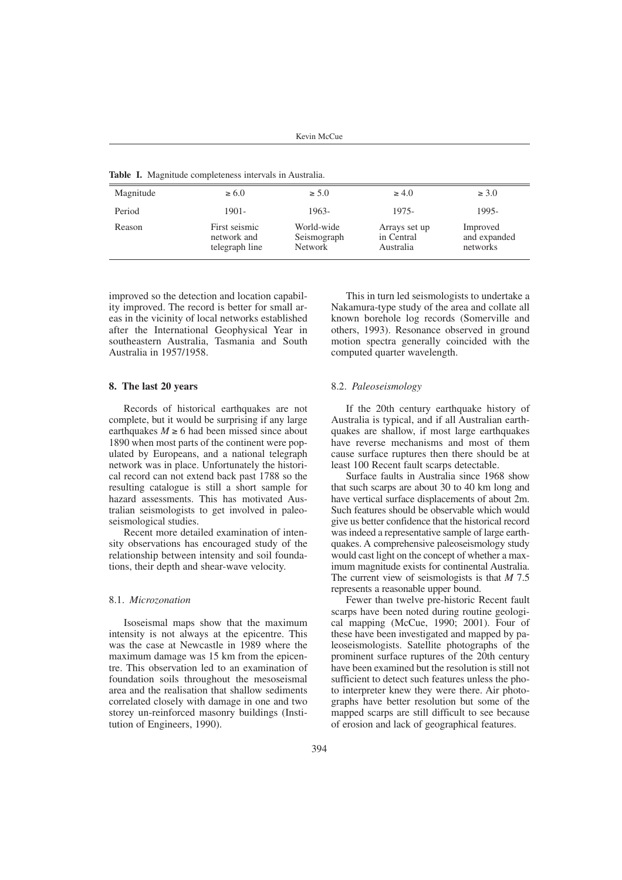Kevin McCue

**Table I.** Magnitude completeness intervals in Australia.

| <b>Table 1.</b> Integratede compreteness meet valis in Feasurand. |                                                |                                      |                                          |                                      |
|-------------------------------------------------------------------|------------------------------------------------|--------------------------------------|------------------------------------------|--------------------------------------|
| Magnitude                                                         | $\geq 6.0$                                     | $\geq 5.0$                           | $\geq 4.0$                               | $\geq 3.0$                           |
| Period                                                            | $1901 -$                                       | 1963-                                | 1975-                                    | 1995-                                |
| Reason                                                            | First seismic<br>network and<br>telegraph line | World-wide<br>Seismograph<br>Network | Arrays set up<br>in Central<br>Australia | Improved<br>and expanded<br>networks |

improved so the detection and location capability improved. The record is better for small areas in the vicinity of local networks established after the International Geophysical Year in southeastern Australia, Tasmania and South Australia in 1957/1958.

# **8. The last 20 years**

Records of historical earthquakes are not complete, but it would be surprising if any large earthquakes  $M \ge 6$  had been missed since about 1890 when most parts of the continent were populated by Europeans, and a national telegraph network was in place. Unfortunately the historical record can not extend back past 1788 so the resulting catalogue is still a short sample for hazard assessments. This has motivated Australian seismologists to get involved in paleoseismological studies.

Recent more detailed examination of intensity observations has encouraged study of the relationship between intensity and soil foundations, their depth and shear-wave velocity.

# 8.1. *Microzonation*

Isoseismal maps show that the maximum intensity is not always at the epicentre. This was the case at Newcastle in 1989 where the maximum damage was 15 km from the epicentre. This observation led to an examination of foundation soils throughout the mesoseismal area and the realisation that shallow sediments correlated closely with damage in one and two storey un-reinforced masonry buildings (Institution of Engineers, 1990).

This in turn led seismologists to undertake a Nakamura-type study of the area and collate all known borehole log records (Somerville and others, 1993). Resonance observed in ground motion spectra generally coincided with the computed quarter wavelength.

## 8.2. *Paleoseismology*

If the 20th century earthquake history of Australia is typical, and if all Australian earthquakes are shallow, if most large earthquakes have reverse mechanisms and most of them cause surface ruptures then there should be at least 100 Recent fault scarps detectable.

Surface faults in Australia since 1968 show that such scarps are about 30 to 40 km long and have vertical surface displacements of about 2m. Such features should be observable which would give us better confidence that the historical record was indeed a representative sample of large earthquakes. A comprehensive paleoseismology study would cast light on the concept of whether a maximum magnitude exists for continental Australia. The current view of seismologists is that *M* 7.5 represents a reasonable upper bound.

Fewer than twelve pre-historic Recent fault scarps have been noted during routine geological mapping (McCue, 1990; 2001). Four of these have been investigated and mapped by paleoseismologists. Satellite photographs of the prominent surface ruptures of the 20th century have been examined but the resolution is still not sufficient to detect such features unless the photo interpreter knew they were there. Air photographs have better resolution but some of the mapped scarps are still difficult to see because of erosion and lack of geographical features.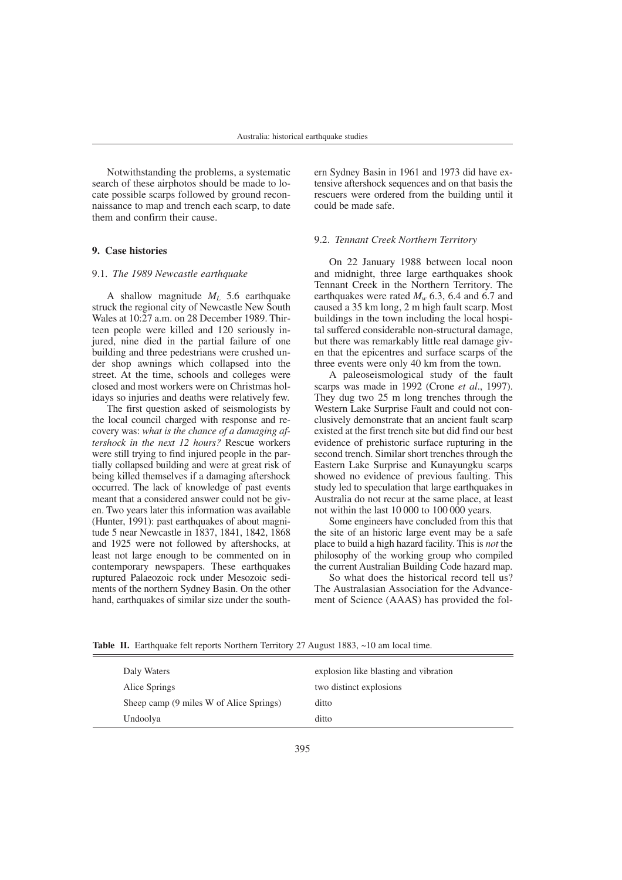Notwithstanding the problems, a systematic search of these airphotos should be made to locate possible scarps followed by ground reconnaissance to map and trench each scarp, to date them and confirm their cause.

# **9. Case histories**

# 9.1. *The 1989 Newcastle earthquake*

A shallow magnitude *ML* 5.6 earthquake struck the regional city of Newcastle New South Wales at 10:27 a.m. on 28 December 1989. Thirteen people were killed and 120 seriously injured, nine died in the partial failure of one building and three pedestrians were crushed under shop awnings which collapsed into the street. At the time, schools and colleges were closed and most workers were on Christmas holidays so injuries and deaths were relatively few.

The first question asked of seismologists by the local council charged with response and recovery was: *what is the chance of a damaging aftershock in the next 12 hours?* Rescue workers were still trying to find injured people in the partially collapsed building and were at great risk of being killed themselves if a damaging aftershock occurred. The lack of knowledge of past events meant that a considered answer could not be given. Two years later this information was available (Hunter, 1991): past earthquakes of about magnitude 5 near Newcastle in 1837, 1841, 1842, 1868 and 1925 were not followed by aftershocks, at least not large enough to be commented on in contemporary newspapers. These earthquakes ruptured Palaeozoic rock under Mesozoic sediments of the northern Sydney Basin. On the other hand, earthquakes of similar size under the southern Sydney Basin in 1961 and 1973 did have extensive aftershock sequences and on that basis the rescuers were ordered from the building until it could be made safe.

# 9.2. *Tennant Creek Northern Territory*

On 22 January 1988 between local noon and midnight, three large earthquakes shook Tennant Creek in the Northern Territory. The earthquakes were rated  $M_w$  6.3, 6.4 and 6.7 and caused a 35 km long, 2 m high fault scarp. Most buildings in the town including the local hospital suffered considerable non-structural damage, but there was remarkably little real damage given that the epicentres and surface scarps of the three events were only 40 km from the town.

A paleoseismological study of the fault scarps was made in 1992 (Crone *et al*., 1997). They dug two 25 m long trenches through the Western Lake Surprise Fault and could not conclusively demonstrate that an ancient fault scarp existed at the first trench site but did find our best evidence of prehistoric surface rupturing in the second trench. Similar short trenches through the Eastern Lake Surprise and Kunayungku scarps showed no evidence of previous faulting. This study led to speculation that large earthquakes in Australia do not recur at the same place, at least not within the last 10 000 to 100 000 years.

Some engineers have concluded from this that the site of an historic large event may be a safe place to build a high hazard facility. This is *not* the philosophy of the working group who compiled the current Australian Building Code hazard map.

So what does the historical record tell us? The Australasian Association for the Advancement of Science (AAAS) has provided the fol-

| Daly Waters                             | explosion like blasting and vibration |
|-----------------------------------------|---------------------------------------|
| Alice Springs                           | two distinct explosions               |
| Sheep camp (9 miles W of Alice Springs) | ditto                                 |
| Undoolya                                | ditto                                 |

Table II. Earthquake felt reports Northern Territory 27 August 1883, ~10 am local time.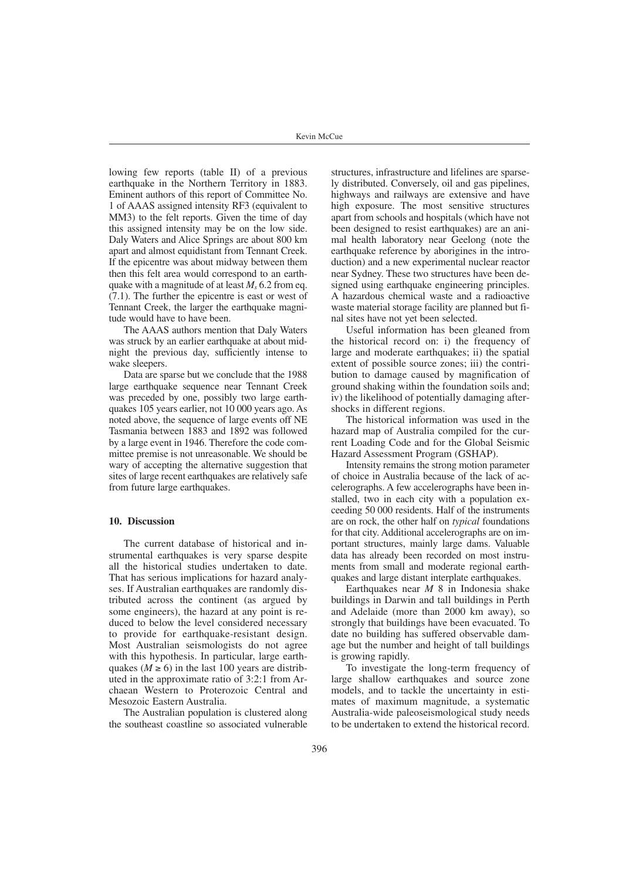lowing few reports (table II) of a previous earthquake in the Northern Territory in 1883. Eminent authors of this report of Committee No. 1 of AAAS assigned intensity RF3 (equivalent to MM3) to the felt reports. Given the time of day this assigned intensity may be on the low side. Daly Waters and Alice Springs are about 800 km apart and almost equidistant from Tennant Creek. If the epicentre was about midway between them then this felt area would correspond to an earthquake with a magnitude of at least  $M_5$  6.2 from eq. (7.1). The further the epicentre is east or west of Tennant Creek, the larger the earthquake magnitude would have to have been.

The AAAS authors mention that Daly Waters was struck by an earlier earthquake at about midnight the previous day, sufficiently intense to wake sleepers.

Data are sparse but we conclude that the 1988 large earthquake sequence near Tennant Creek was preceded by one, possibly two large earthquakes 105 years earlier, not 10 000 years ago. As noted above, the sequence of large events off NE Tasmania between 1883 and 1892 was followed by a large event in 1946. Therefore the code committee premise is not unreasonable. We should be wary of accepting the alternative suggestion that sites of large recent earthquakes are relatively safe from future large earthquakes.

# **10. Discussion**

The current database of historical and instrumental earthquakes is very sparse despite all the historical studies undertaken to date. That has serious implications for hazard analyses. If Australian earthquakes are randomly distributed across the continent (as argued by some engineers), the hazard at any point is reduced to below the level considered necessary to provide for earthquake-resistant design. Most Australian seismologists do not agree with this hypothesis. In particular, large earthquakes ( $M \ge 6$ ) in the last 100 years are distributed in the approximate ratio of 3:2:1 from Archaean Western to Proterozoic Central and Mesozoic Eastern Australia.

The Australian population is clustered along the southeast coastline so associated vulnerable

structures, infrastructure and lifelines are sparsely distributed. Conversely, oil and gas pipelines, highways and railways are extensive and have high exposure. The most sensitive structures apart from schools and hospitals (which have not been designed to resist earthquakes) are an animal health laboratory near Geelong (note the earthquake reference by aborigines in the introduction) and a new experimental nuclear reactor near Sydney. These two structures have been designed using earthquake engineering principles. A hazardous chemical waste and a radioactive waste material storage facility are planned but final sites have not yet been selected.

Useful information has been gleaned from the historical record on: i) the frequency of large and moderate earthquakes; ii) the spatial extent of possible source zones; iii) the contribution to damage caused by magnification of ground shaking within the foundation soils and; iv) the likelihood of potentially damaging aftershocks in different regions.

The historical information was used in the hazard map of Australia compiled for the current Loading Code and for the Global Seismic Hazard Assessment Program (GSHAP).

Intensity remains the strong motion parameter of choice in Australia because of the lack of accelerographs. A few accelerographs have been installed, two in each city with a population exceeding 50 000 residents. Half of the instruments are on rock, the other half on *typical* foundations for that city. Additional accelerographs are on important structures, mainly large dams. Valuable data has already been recorded on most instruments from small and moderate regional earthquakes and large distant interplate earthquakes.

Earthquakes near *M* 8 in Indonesia shake buildings in Darwin and tall buildings in Perth and Adelaide (more than 2000 km away), so strongly that buildings have been evacuated. To date no building has suffered observable damage but the number and height of tall buildings is growing rapidly.

To investigate the long-term frequency of large shallow earthquakes and source zone models, and to tackle the uncertainty in estimates of maximum magnitude, a systematic Australia-wide paleoseismological study needs to be undertaken to extend the historical record.